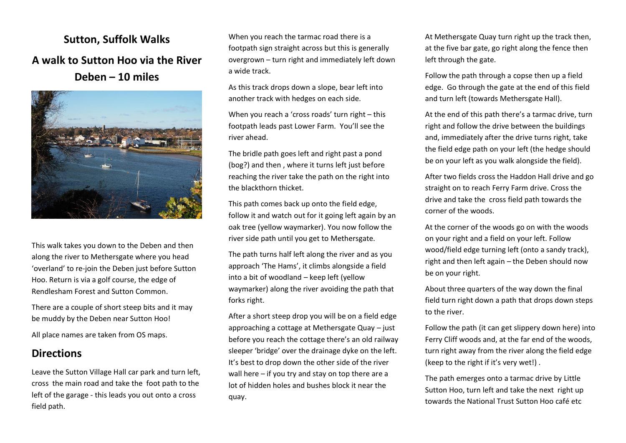**Sutton, Suffolk Walks A walk to Sutton Hoo via the River Deben – 10 miles**



This walk takes you down to the Deben and then along the river to Methersgate where you head 'overland' to re-join the Deben just before Sutton Hoo. Return is via a golf course, the edge of Rendlesham Forest and Sutton Common.

There are a couple of short steep bits and it may be muddy by the Deben near Sutton Hoo!

All place names are taken from OS maps.

## **Directions**

Leave the Sutton Village Hall car park and turn left, cross the main road and take the foot path to the left of the garage - this leads you out onto a cross field path.

When you reach the tarmac road there is a footpath sign straight across but this is generally overgrown – turn right and immediately left down a wide track.

As this track drops down a slope, bear left into another track with hedges on each side.

When you reach a 'cross roads' turn right – this footpath leads past Lower Farm. You'll see the river ahead.

The bridle path goes left and right past a pond (bog?) and then , where it turns left just before reaching the river take the path on the right into the blackthorn thicket.

This path comes back up onto the field edge, follow it and watch out for it going left again by an oak tree (yellow waymarker). You now follow the river side path until you get to Methersgate.

The path turns half left along the river and as you approach 'The Hams', it climbs alongside a field into a bit of woodland – keep left (yellow waymarker) along the river avoiding the path that forks right.

After a short steep drop you will be on a field edge approaching a cottage at Methersgate Quay – just before you reach the cottage there's an old railway sleeper 'bridge' over the drainage dyke on the left. It's best to drop down the other side of the river wall here – if you try and stay on top there are a lot of hidden holes and bushes block it near the quay.

At Methersgate Quay turn right up the track then, at the five bar gate, go right along the fence then left through the gate.

Follow the path through a copse then up a field edge. Go through the gate at the end of this field and turn left (towards Methersgate Hall).

At the end of this path there's a tarmac drive, turn right and follow the drive between the buildings and, immediately after the drive turns right, take the field edge path on your left (the hedge should be on your left as you walk alongside the field).

After two fields cross the Haddon Hall drive and go straight on to reach Ferry Farm drive. Cross the drive and take the cross field path towards the corner of the woods.

At the corner of the woods go on with the woods on your right and a field on your left. Follow wood/field edge turning left (onto a sandy track), right and then left again – the Deben should now be on your right.

About three quarters of the way down the final field turn right down a path that drops down steps to the river.

Follow the path (it can get slippery down here) into Ferry Cliff woods and, at the far end of the woods, turn right away from the river along the field edge (keep to the right if it's very wet!) .

The path emerges onto a tarmac drive by Little Sutton Hoo, turn left and take the next right up towards the National Trust Sutton Hoo café etc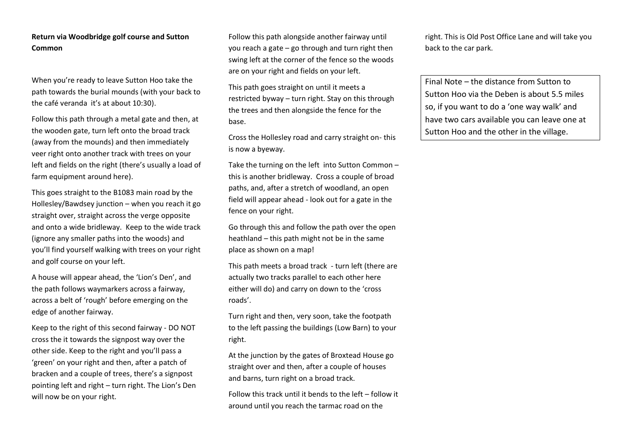## **Return via Woodbridge golf course and Sutton Common**

When you're ready to leave Sutton Hoo take the path towards the burial mounds (with your back to the café veranda it's at about 10:30).

Follow this path through a metal gate and then, at the wooden gate, turn left onto the broad track (away from the mounds) and then immediately veer right onto another track with trees on your left and fields on the right (there's usually a load of farm equipment around here).

This goes straight to the B1083 main road by the Hollesley/Bawdsey junction – when you reach it go straight over, straight across the verge opposite and onto a wide bridleway. Keep to the wide track (ignore any smaller paths into the woods) and you'll find yourself walking with trees on your right and golf course on your left.

A house will appear ahead, the 'Lion's Den', and the path follows waymarkers across a fairway, across a belt of 'rough' before emerging on the edge of another fairway.

Keep to the right of this second fairway - DO NOT cross the it towards the signpost way over the other side. Keep to the right and you'll pass a 'green' on your right and then, after a patch of bracken and a couple of trees, there's a signpost pointing left and right – turn right. The Lion's Den will now be on your right.

Follow this path alongside another fairway until you reach a gate – go through and turn right then swing left at the corner of the fence so the woods are on your right and fields on your left.

This path goes straight on until it meets a restricted byway – turn right. Stay on this through the trees and then alongside the fence for the base.

Cross the Hollesley road and carry straight on- this is now a byeway.

Take the turning on the left into Sutton Common – this is another bridleway. Cross a couple of broad paths, and, after a stretch of woodland, an open field will appear ahead - look out for a gate in the fence on your right.

Go through this and follow the path over the open heathland – this path might not be in the same place as shown on a map!

This path meets a broad track - turn left (there are actually two tracks parallel to each other here either will do) and carry on down to the 'cross roads'.

Turn right and then, very soon, take the footpath to the left passing the buildings (Low Barn) to your right.

At the junction by the gates of Broxtead House go straight over and then, after a couple of houses and barns, turn right on a broad track.

Follow this track until it bends to the left – follow it around until you reach the tarmac road on the

right. This is Old Post Office Lane and will take you back to the car park.

Final Note – the distance from Sutton to Sutton Hoo via the Deben is about 5.5 miles so, if you want to do a 'one way walk' and have two cars available you can leave one at Sutton Hoo and the other in the village.